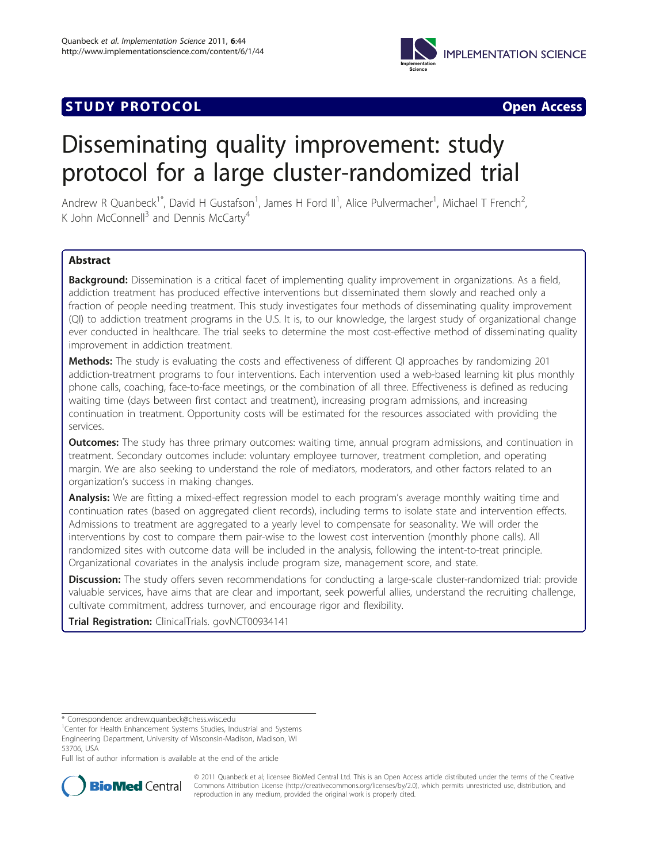

# **STUDY PROTOCOL CONSUMING THE CONSUMING OPEN ACCESS**

# Disseminating quality improvement: study protocol for a large cluster-randomized trial

Andrew R Quanbeck<sup>1\*</sup>, David H Gustafson<sup>1</sup>, James H Ford II<sup>1</sup>, Alice Pulvermacher<sup>1</sup>, Michael T French<sup>2</sup> .<br>, K John McConnell<sup>3</sup> and Dennis McCarty<sup>4</sup>

# Abstract

Background: Dissemination is a critical facet of implementing quality improvement in organizations. As a field, addiction treatment has produced effective interventions but disseminated them slowly and reached only a fraction of people needing treatment. This study investigates four methods of disseminating quality improvement (QI) to addiction treatment programs in the U.S. It is, to our knowledge, the largest study of organizational change ever conducted in healthcare. The trial seeks to determine the most cost-effective method of disseminating quality improvement in addiction treatment.

Methods: The study is evaluating the costs and effectiveness of different QI approaches by randomizing 201 addiction-treatment programs to four interventions. Each intervention used a web-based learning kit plus monthly phone calls, coaching, face-to-face meetings, or the combination of all three. Effectiveness is defined as reducing waiting time (days between first contact and treatment), increasing program admissions, and increasing continuation in treatment. Opportunity costs will be estimated for the resources associated with providing the services.

**Outcomes:** The study has three primary outcomes: waiting time, annual program admissions, and continuation in treatment. Secondary outcomes include: voluntary employee turnover, treatment completion, and operating margin. We are also seeking to understand the role of mediators, moderators, and other factors related to an organization's success in making changes.

Analysis: We are fitting a mixed-effect regression model to each program's average monthly waiting time and continuation rates (based on aggregated client records), including terms to isolate state and intervention effects. Admissions to treatment are aggregated to a yearly level to compensate for seasonality. We will order the interventions by cost to compare them pair-wise to the lowest cost intervention (monthly phone calls). All randomized sites with outcome data will be included in the analysis, following the intent-to-treat principle. Organizational covariates in the analysis include program size, management score, and state.

Discussion: The study offers seven recommendations for conducting a large-scale cluster-randomized trial: provide valuable services, have aims that are clear and important, seek powerful allies, understand the recruiting challenge, cultivate commitment, address turnover, and encourage rigor and flexibility.

Trial Registration: ClinicalTrials. [govNCT00934141](http://www.clinicaltrials.gov/ct2/show/NCT00934141)

Full list of author information is available at the end of the article



© 2011 Quanbeck et al; licensee BioMed Central Ltd. This is an Open Access article distributed under the terms of the Creative Commons Attribution License [\(http://creativecommons.org/licenses/by/2.0](http://creativecommons.org/licenses/by/2.0)), which permits unrestricted use, distribution, and reproduction in any medium, provided the original work is properly cited.

<sup>\*</sup> Correspondence: [andrew.quanbeck@chess.wisc.edu](mailto:andrew.quanbeck@chess.wisc.edu)

<sup>&</sup>lt;sup>1</sup>Center for Health Enhancement Systems Studies, Industrial and Systems Engineering Department, University of Wisconsin-Madison, Madison, WI 53706, USA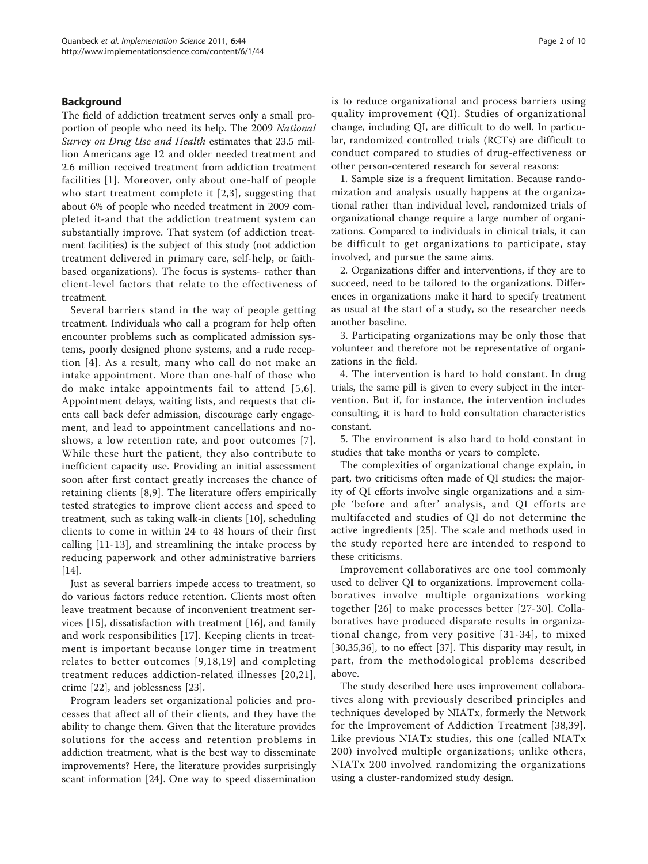# Background

The field of addiction treatment serves only a small proportion of people who need its help. The 2009 National Survey on Drug Use and Health estimates that 23.5 million Americans age 12 and older needed treatment and 2.6 million received treatment from addiction treatment facilities [\[1](#page-8-0)]. Moreover, only about one-half of people who start treatment complete it [[2](#page-8-0),[3\]](#page-8-0), suggesting that about 6% of people who needed treatment in 2009 completed it-and that the addiction treatment system can substantially improve. That system (of addiction treatment facilities) is the subject of this study (not addiction treatment delivered in primary care, self-help, or faithbased organizations). The focus is systems- rather than client-level factors that relate to the effectiveness of treatment.

Several barriers stand in the way of people getting treatment. Individuals who call a program for help often encounter problems such as complicated admission systems, poorly designed phone systems, and a rude reception [[4\]](#page-8-0). As a result, many who call do not make an intake appointment. More than one-half of those who do make intake appointments fail to attend [[5,6\]](#page-9-0). Appointment delays, waiting lists, and requests that clients call back defer admission, discourage early engagement, and lead to appointment cancellations and noshows, a low retention rate, and poor outcomes [[7\]](#page-9-0). While these hurt the patient, they also contribute to inefficient capacity use. Providing an initial assessment soon after first contact greatly increases the chance of retaining clients [\[8](#page-9-0),[9\]](#page-9-0). The literature offers empirically tested strategies to improve client access and speed to treatment, such as taking walk-in clients [[10\]](#page-9-0), scheduling clients to come in within 24 to 48 hours of their first calling [\[11](#page-9-0)-[13](#page-9-0)], and streamlining the intake process by reducing paperwork and other administrative barriers [[14\]](#page-9-0).

Just as several barriers impede access to treatment, so do various factors reduce retention. Clients most often leave treatment because of inconvenient treatment services [[15\]](#page-9-0), dissatisfaction with treatment [[16\]](#page-9-0), and family and work responsibilities [[17](#page-9-0)]. Keeping clients in treatment is important because longer time in treatment relates to better outcomes [[9,18,19\]](#page-9-0) and completing treatment reduces addiction-related illnesses [[20,21\]](#page-9-0), crime [\[22\]](#page-9-0), and joblessness [\[23](#page-9-0)].

Program leaders set organizational policies and processes that affect all of their clients, and they have the ability to change them. Given that the literature provides solutions for the access and retention problems in addiction treatment, what is the best way to disseminate improvements? Here, the literature provides surprisingly scant information [[24\]](#page-9-0). One way to speed dissemination is to reduce organizational and process barriers using quality improvement (QI). Studies of organizational change, including QI, are difficult to do well. In particular, randomized controlled trials (RCTs) are difficult to conduct compared to studies of drug-effectiveness or other person-centered research for several reasons:

1. Sample size is a frequent limitation. Because randomization and analysis usually happens at the organizational rather than individual level, randomized trials of organizational change require a large number of organizations. Compared to individuals in clinical trials, it can be difficult to get organizations to participate, stay involved, and pursue the same aims.

2. Organizations differ and interventions, if they are to succeed, need to be tailored to the organizations. Differences in organizations make it hard to specify treatment as usual at the start of a study, so the researcher needs another baseline.

3. Participating organizations may be only those that volunteer and therefore not be representative of organizations in the field.

4. The intervention is hard to hold constant. In drug trials, the same pill is given to every subject in the intervention. But if, for instance, the intervention includes consulting, it is hard to hold consultation characteristics constant.

5. The environment is also hard to hold constant in studies that take months or years to complete.

The complexities of organizational change explain, in part, two criticisms often made of QI studies: the majority of QI efforts involve single organizations and a simple 'before and after' analysis, and QI efforts are multifaceted and studies of QI do not determine the active ingredients [[25](#page-9-0)]. The scale and methods used in the study reported here are intended to respond to these criticisms.

Improvement collaboratives are one tool commonly used to deliver QI to organizations. Improvement collaboratives involve multiple organizations working together [\[26\]](#page-9-0) to make processes better [[27](#page-9-0)-[30](#page-9-0)]. Collaboratives have produced disparate results in organizational change, from very positive [[31-34\]](#page-9-0), to mixed [[30,35,36\]](#page-9-0), to no effect [[37\]](#page-9-0). This disparity may result, in part, from the methodological problems described above.

The study described here uses improvement collaboratives along with previously described principles and techniques developed by NIATx, formerly the Network for the Improvement of Addiction Treatment [[38](#page-9-0),[39\]](#page-9-0). Like previous NIATx studies, this one (called NIATx 200) involved multiple organizations; unlike others, NIATx 200 involved randomizing the organizations using a cluster-randomized study design.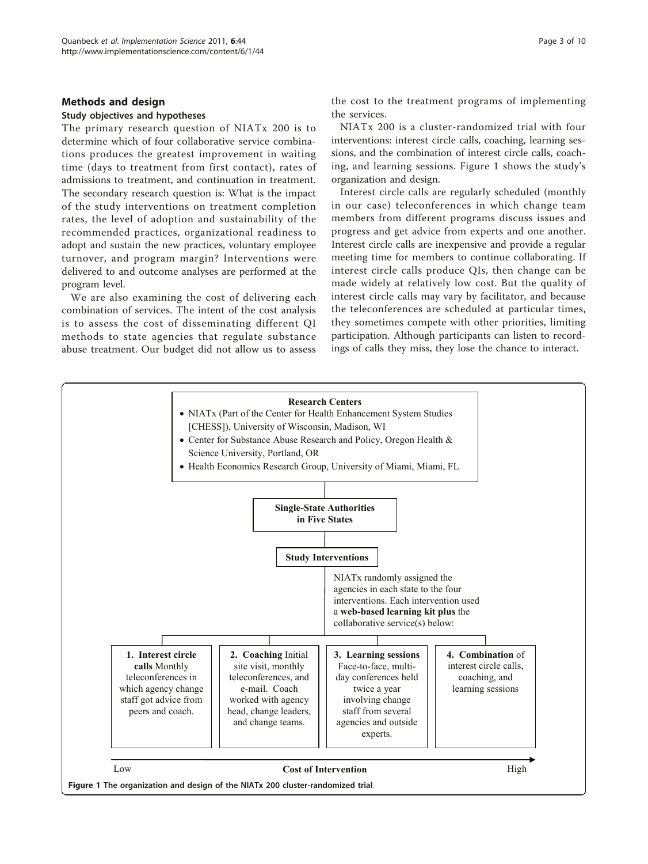# Methods and design

# Study objectives and hypotheses

The primary research question of NIATx 200 is to determine which of four collaborative service combinations produces the greatest improvement in waiting time (days to treatment from first contact), rates of admissions to treatment, and continuation in treatment. The secondary research question is: What is the impact of the study interventions on treatment completion rates, the level of adoption and sustainability of the recommended practices, organizational readiness to adopt and sustain the new practices, voluntary employee turnover, and program margin? Interventions were delivered to and outcome analyses are performed at the program level.

We are also examining the cost of delivering each combination of services. The intent of the cost analysis is to assess the cost of disseminating different QI methods to state agencies that regulate substance abuse treatment. Our budget did not allow us to assess the cost to the treatment programs of implementing the services.

NIATx 200 is a cluster-randomized trial with four interventions: interest circle calls, coaching, learning sessions, and the combination of interest circle calls, coaching, and learning sessions. Figure 1 shows the study's organization and design.

Interest circle calls are regularly scheduled (monthly in our case) teleconferences in which change team members from different programs discuss issues and progress and get advice from experts and one another. Interest circle calls are inexpensive and provide a regular meeting time for members to continue collaborating. If interest circle calls produce QIs, then change can be made widely at relatively low cost. But the quality of interest circle calls may vary by facilitator, and because the teleconferences are scheduled at particular times, they sometimes compete with other priorities, limiting participation. Although participants can listen to recordings of calls they miss, they lose the chance to interact.

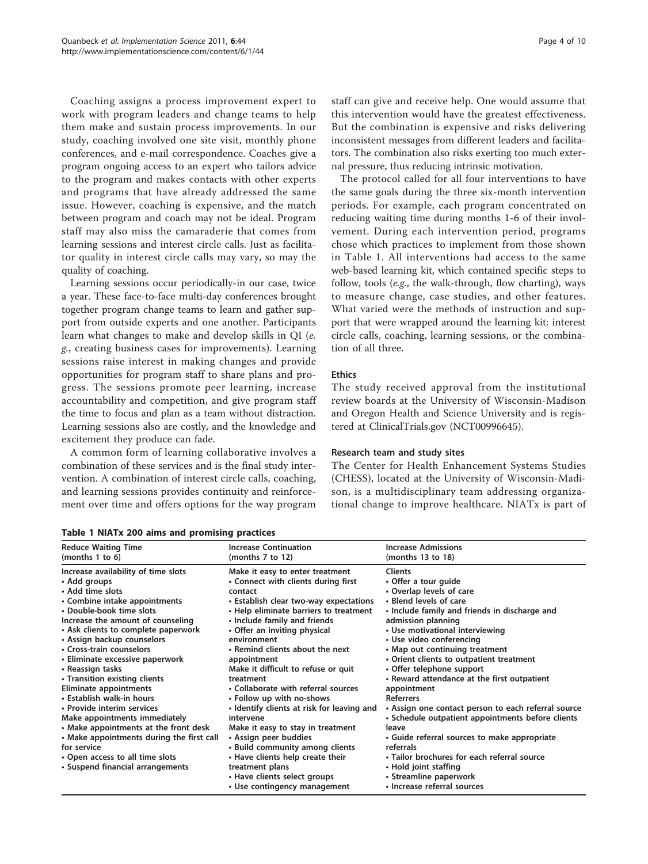<span id="page-3-0"></span>Coaching assigns a process improvement expert to work with program leaders and change teams to help them make and sustain process improvements. In our study, coaching involved one site visit, monthly phone conferences, and e-mail correspondence. Coaches give a program ongoing access to an expert who tailors advice to the program and makes contacts with other experts and programs that have already addressed the same issue. However, coaching is expensive, and the match between program and coach may not be ideal. Program staff may also miss the camaraderie that comes from learning sessions and interest circle calls. Just as facilitator quality in interest circle calls may vary, so may the quality of coaching.

Learning sessions occur periodically-in our case, twice a year. These face-to-face multi-day conferences brought together program change teams to learn and gather support from outside experts and one another. Participants learn what changes to make and develop skills in QI (e. g., creating business cases for improvements). Learning sessions raise interest in making changes and provide opportunities for program staff to share plans and progress. The sessions promote peer learning, increase accountability and competition, and give program staff the time to focus and plan as a team without distraction. Learning sessions also are costly, and the knowledge and excitement they produce can fade.

A common form of learning collaborative involves a combination of these services and is the final study intervention. A combination of interest circle calls, coaching, and learning sessions provides continuity and reinforcement over time and offers options for the way program

|  |  |  |  |  | Table 1 NIATx 200 aims and promising practices |  |
|--|--|--|--|--|------------------------------------------------|--|
|--|--|--|--|--|------------------------------------------------|--|

staff can give and receive help. One would assume that this intervention would have the greatest effectiveness. But the combination is expensive and risks delivering inconsistent messages from different leaders and facilitators. The combination also risks exerting too much external pressure, thus reducing intrinsic motivation.

The protocol called for all four interventions to have the same goals during the three six-month intervention periods. For example, each program concentrated on reducing waiting time during months 1-6 of their involvement. During each intervention period, programs chose which practices to implement from those shown in Table 1. All interventions had access to the same web-based learning kit, which contained specific steps to follow, tools (e.g., the walk-through, flow charting), ways to measure change, case studies, and other features. What varied were the methods of instruction and support that were wrapped around the learning kit: interest circle calls, coaching, learning sessions, or the combination of all three.

# Ethics

The study received approval from the institutional review boards at the University of Wisconsin-Madison and Oregon Health and Science University and is registered at ClinicalTrials.gov (NCT00996645).

# Research team and study sites

The Center for Health Enhancement Systems Studies (CHESS), located at the University of Wisconsin-Madison, is a multidisciplinary team addressing organizational change to improve healthcare. NIATx is part of

| Increase availability of time slots<br>Make it easy to enter treatment<br><b>Clients</b><br>• Connect with clients during first<br>• Add groups<br>• Offer a tour guide<br>• Add time slots<br>• Overlap levels of care<br>contact<br>• Blend levels of care<br>• Combine intake appointments<br>• Establish clear two-way expectations<br>• Double-book time slots<br>• Help eliminate barriers to treatment<br>• Include family and friends<br>Increase the amount of counseling<br>admission planning<br>• Ask clients to complete paperwork<br>• Offer an inviting physical<br>• Assign backup counselors<br>environment<br>• Cross-train counselors<br>• Remind clients about the next<br>• Eliminate excessive paperwork<br>appointment<br>• Reassign tasks<br>Make it difficult to refuse or quit<br>• Transition existing clients<br>treatment<br>Eliminate appointments<br>• Collaborate with referral sources<br>appointment<br>• Establish walk-in hours<br><b>Referrers</b><br>• Follow up with no-shows<br>• Provide interim services<br>• Identify clients at risk for leaving and<br>Make appointments immediately<br>intervene<br>• Make appointments at the front desk<br>Make it easy to stay in treatment<br>leave<br>• Make appointments during the first call<br>• Assign peer buddies<br>for service<br>• Build community among clients<br>referrals<br>• Have clients help create their<br>• Open access to all time slots<br>• Suspend financial arrangements<br>treatment plans<br>• Hold joint staffing<br>· Streamline paperwork<br>• Have clients select groups<br>• Use contingency management | . Include family and friends in discharge and<br>• Use motivational interviewing<br>• Use video conferencing<br>• Map out continuing treatment<br>• Orient clients to outpatient treatment<br>• Offer telephone support<br>• Reward attendance at the first outpatient<br>• Assign one contact person to each referral source<br>• Schedule outpatient appointments before clients<br>• Guide referral sources to make appropriate<br>• Tailor brochures for each referral source<br>· Increase referral sources |
|-----------------------------------------------------------------------------------------------------------------------------------------------------------------------------------------------------------------------------------------------------------------------------------------------------------------------------------------------------------------------------------------------------------------------------------------------------------------------------------------------------------------------------------------------------------------------------------------------------------------------------------------------------------------------------------------------------------------------------------------------------------------------------------------------------------------------------------------------------------------------------------------------------------------------------------------------------------------------------------------------------------------------------------------------------------------------------------------------------------------------------------------------------------------------------------------------------------------------------------------------------------------------------------------------------------------------------------------------------------------------------------------------------------------------------------------------------------------------------------------------------------------------------------------------------------------------------------------------------------------------------|------------------------------------------------------------------------------------------------------------------------------------------------------------------------------------------------------------------------------------------------------------------------------------------------------------------------------------------------------------------------------------------------------------------------------------------------------------------------------------------------------------------|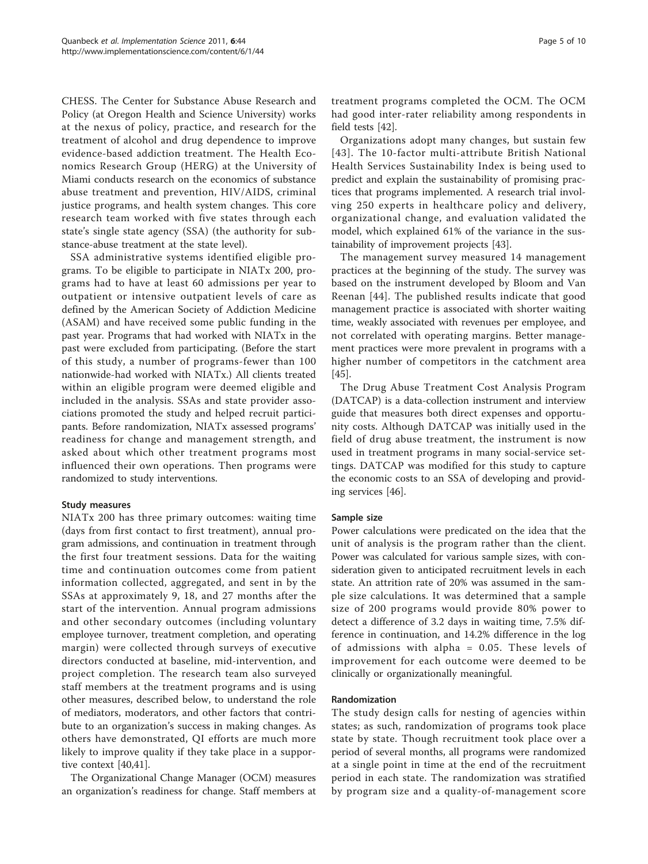CHESS. The Center for Substance Abuse Research and Policy (at Oregon Health and Science University) works at the nexus of policy, practice, and research for the treatment of alcohol and drug dependence to improve evidence-based addiction treatment. The Health Economics Research Group (HERG) at the University of Miami conducts research on the economics of substance abuse treatment and prevention, HIV/AIDS, criminal justice programs, and health system changes. This core research team worked with five states through each state's single state agency (SSA) (the authority for substance-abuse treatment at the state level).

SSA administrative systems identified eligible programs. To be eligible to participate in NIATx 200, programs had to have at least 60 admissions per year to outpatient or intensive outpatient levels of care as defined by the American Society of Addiction Medicine (ASAM) and have received some public funding in the past year. Programs that had worked with NIATx in the past were excluded from participating. (Before the start of this study, a number of programs-fewer than 100 nationwide-had worked with NIATx.) All clients treated within an eligible program were deemed eligible and included in the analysis. SSAs and state provider associations promoted the study and helped recruit participants. Before randomization, NIATx assessed programs' readiness for change and management strength, and asked about which other treatment programs most influenced their own operations. Then programs were randomized to study interventions.

# Study measures

NIATx 200 has three primary outcomes: waiting time (days from first contact to first treatment), annual program admissions, and continuation in treatment through the first four treatment sessions. Data for the waiting time and continuation outcomes come from patient information collected, aggregated, and sent in by the SSAs at approximately 9, 18, and 27 months after the start of the intervention. Annual program admissions and other secondary outcomes (including voluntary employee turnover, treatment completion, and operating margin) were collected through surveys of executive directors conducted at baseline, mid-intervention, and project completion. The research team also surveyed staff members at the treatment programs and is using other measures, described below, to understand the role of mediators, moderators, and other factors that contribute to an organization's success in making changes. As others have demonstrated, QI efforts are much more likely to improve quality if they take place in a supportive context [\[40,41\]](#page-9-0).

The Organizational Change Manager (OCM) measures an organization's readiness for change. Staff members at treatment programs completed the OCM. The OCM had good inter-rater reliability among respondents in field tests [\[42\]](#page-9-0).

Organizations adopt many changes, but sustain few [[43](#page-9-0)]. The 10-factor multi-attribute British National Health Services Sustainability Index is being used to predict and explain the sustainability of promising practices that programs implemented. A research trial involving 250 experts in healthcare policy and delivery, organizational change, and evaluation validated the model, which explained 61% of the variance in the sustainability of improvement projects [\[43](#page-9-0)].

The management survey measured 14 management practices at the beginning of the study. The survey was based on the instrument developed by Bloom and Van Reenan [[44](#page-9-0)]. The published results indicate that good management practice is associated with shorter waiting time, weakly associated with revenues per employee, and not correlated with operating margins. Better management practices were more prevalent in programs with a higher number of competitors in the catchment area [[45\]](#page-9-0).

The Drug Abuse Treatment Cost Analysis Program (DATCAP) is a data-collection instrument and interview guide that measures both direct expenses and opportunity costs. Although DATCAP was initially used in the field of drug abuse treatment, the instrument is now used in treatment programs in many social-service settings. DATCAP was modified for this study to capture the economic costs to an SSA of developing and providing services [\[46](#page-9-0)].

# Sample size

Power calculations were predicated on the idea that the unit of analysis is the program rather than the client. Power was calculated for various sample sizes, with consideration given to anticipated recruitment levels in each state. An attrition rate of 20% was assumed in the sample size calculations. It was determined that a sample size of 200 programs would provide 80% power to detect a difference of 3.2 days in waiting time, 7.5% difference in continuation, and 14.2% difference in the log of admissions with alpha = 0.05. These levels of improvement for each outcome were deemed to be clinically or organizationally meaningful.

#### Randomization

The study design calls for nesting of agencies within states; as such, randomization of programs took place state by state. Though recruitment took place over a period of several months, all programs were randomized at a single point in time at the end of the recruitment period in each state. The randomization was stratified by program size and a quality-of-management score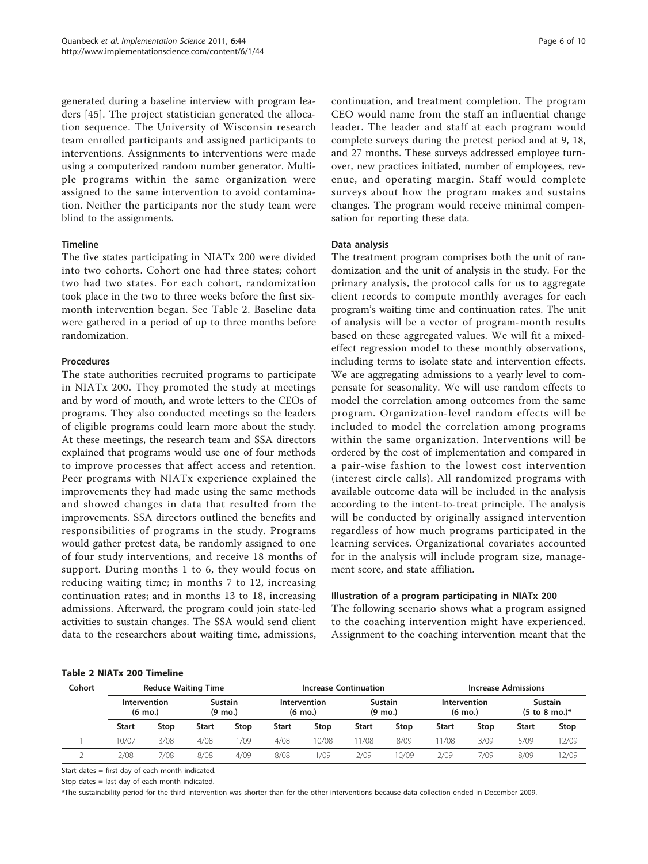generated during a baseline interview with program leaders [[45](#page-9-0)]. The project statistician generated the allocation sequence. The University of Wisconsin research team enrolled participants and assigned participants to interventions. Assignments to interventions were made using a computerized random number generator. Multiple programs within the same organization were assigned to the same intervention to avoid contamination. Neither the participants nor the study team were blind to the assignments.

# Timeline

The five states participating in NIATx 200 were divided into two cohorts. Cohort one had three states; cohort two had two states. For each cohort, randomization took place in the two to three weeks before the first sixmonth intervention began. See Table 2. Baseline data were gathered in a period of up to three months before randomization.

# Procedures

The state authorities recruited programs to participate in NIATx 200. They promoted the study at meetings and by word of mouth, and wrote letters to the CEOs of programs. They also conducted meetings so the leaders of eligible programs could learn more about the study. At these meetings, the research team and SSA directors explained that programs would use one of four methods to improve processes that affect access and retention. Peer programs with NIATx experience explained the improvements they had made using the same methods and showed changes in data that resulted from the improvements. SSA directors outlined the benefits and responsibilities of programs in the study. Programs would gather pretest data, be randomly assigned to one of four study interventions, and receive 18 months of support. During months 1 to 6, they would focus on reducing waiting time; in months 7 to 12, increasing continuation rates; and in months 13 to 18, increasing admissions. Afterward, the program could join state-led activities to sustain changes. The SSA would send client data to the researchers about waiting time, admissions,

continuation, and treatment completion. The program CEO would name from the staff an influential change leader. The leader and staff at each program would complete surveys during the pretest period and at 9, 18, and 27 months. These surveys addressed employee turnover, new practices initiated, number of employees, revenue, and operating margin. Staff would complete surveys about how the program makes and sustains changes. The program would receive minimal compensation for reporting these data.

# Data analysis

The treatment program comprises both the unit of randomization and the unit of analysis in the study. For the primary analysis, the protocol calls for us to aggregate client records to compute monthly averages for each program's waiting time and continuation rates. The unit of analysis will be a vector of program-month results based on these aggregated values. We will fit a mixedeffect regression model to these monthly observations, including terms to isolate state and intervention effects. We are aggregating admissions to a yearly level to compensate for seasonality. We will use random effects to model the correlation among outcomes from the same program. Organization-level random effects will be included to model the correlation among programs within the same organization. Interventions will be ordered by the cost of implementation and compared in a pair-wise fashion to the lowest cost intervention (interest circle calls). All randomized programs with available outcome data will be included in the analysis according to the intent-to-treat principle. The analysis will be conducted by originally assigned intervention regardless of how much programs participated in the learning services. Organizational covariates accounted for in the analysis will include program size, management score, and state affiliation.

# Illustration of a program participating in NIATx 200

The following scenario shows what a program assigned to the coaching intervention might have experienced. Assignment to the coaching intervention meant that the

# Table 2 NIATx 200 Timeline

| Cohort |                                   |      | <b>Reduce Waiting Time</b> |                                     | <b>Increase Continuation</b> |                                   |              |                                                                          | <b>Increase Admissions</b> |                                                     |              |       |
|--------|-----------------------------------|------|----------------------------|-------------------------------------|------------------------------|-----------------------------------|--------------|--------------------------------------------------------------------------|----------------------------|-----------------------------------------------------|--------------|-------|
|        | Intervention<br>$(6 \text{ mo.})$ |      |                            | <b>Sustain</b><br>$(9 \text{ mo.})$ |                              | Intervention<br>$(6 \text{ mo.})$ |              | <b>Sustain</b><br>Intervention<br>$(9 \text{ mo.})$<br>$(6 \text{ mo.})$ |                            | <b>Sustain</b><br>$(5 \text{ to } 8 \text{ mo.})^*$ |              |       |
|        | <b>Start</b>                      | Stop | <b>Start</b>               | Stop                                | <b>Start</b>                 | Stop                              | <b>Start</b> | Stop                                                                     | <b>Start</b>               | Stop                                                | <b>Start</b> | Stop  |
|        | 10/07                             | 3/08 | 4/08                       | 1/09                                | 4/08                         | 10/08                             | 11/08        | 8/09                                                                     | 1/08                       | 3/09                                                | 5/09         | 12/09 |
|        | 2/08                              | 7/08 | 8/08                       | 4/09                                | 8/08                         | 1/09                              | 2/09         | 10/09                                                                    | 2/09                       | 7/09                                                | 8/09         | 12/09 |

Start dates = first day of each month indicated.

Stop dates = last day of each month indicated.

\*The sustainability period for the third intervention was shorter than for the other interventions because data collection ended in December 2009.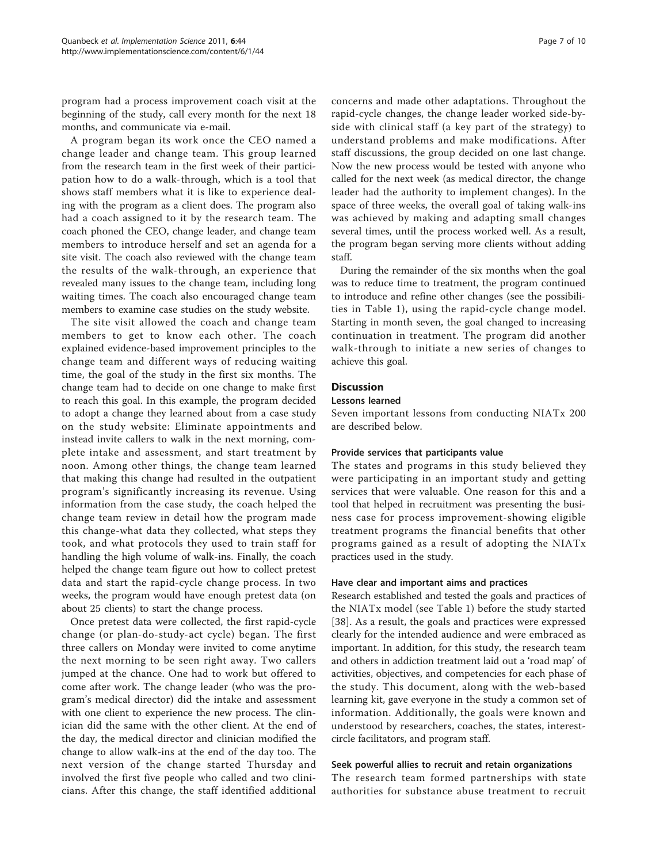program had a process improvement coach visit at the beginning of the study, call every month for the next 18 months, and communicate via e-mail.

A program began its work once the CEO named a change leader and change team. This group learned from the research team in the first week of their participation how to do a walk-through, which is a tool that shows staff members what it is like to experience dealing with the program as a client does. The program also had a coach assigned to it by the research team. The coach phoned the CEO, change leader, and change team members to introduce herself and set an agenda for a site visit. The coach also reviewed with the change team the results of the walk-through, an experience that revealed many issues to the change team, including long waiting times. The coach also encouraged change team members to examine case studies on the study website.

The site visit allowed the coach and change team members to get to know each other. The coach explained evidence-based improvement principles to the change team and different ways of reducing waiting time, the goal of the study in the first six months. The change team had to decide on one change to make first to reach this goal. In this example, the program decided to adopt a change they learned about from a case study on the study website: Eliminate appointments and instead invite callers to walk in the next morning, complete intake and assessment, and start treatment by noon. Among other things, the change team learned that making this change had resulted in the outpatient program's significantly increasing its revenue. Using information from the case study, the coach helped the change team review in detail how the program made this change-what data they collected, what steps they took, and what protocols they used to train staff for handling the high volume of walk-ins. Finally, the coach helped the change team figure out how to collect pretest data and start the rapid-cycle change process. In two weeks, the program would have enough pretest data (on about 25 clients) to start the change process.

Once pretest data were collected, the first rapid-cycle change (or plan-do-study-act cycle) began. The first three callers on Monday were invited to come anytime the next morning to be seen right away. Two callers jumped at the chance. One had to work but offered to come after work. The change leader (who was the program's medical director) did the intake and assessment with one client to experience the new process. The clinician did the same with the other client. At the end of the day, the medical director and clinician modified the change to allow walk-ins at the end of the day too. The next version of the change started Thursday and involved the first five people who called and two clinicians. After this change, the staff identified additional

concerns and made other adaptations. Throughout the rapid-cycle changes, the change leader worked side-byside with clinical staff (a key part of the strategy) to understand problems and make modifications. After staff discussions, the group decided on one last change. Now the new process would be tested with anyone who called for the next week (as medical director, the change leader had the authority to implement changes). In the space of three weeks, the overall goal of taking walk-ins was achieved by making and adapting small changes several times, until the process worked well. As a result, the program began serving more clients without adding staff.

During the remainder of the six months when the goal was to reduce time to treatment, the program continued to introduce and refine other changes (see the possibilities in Table [1](#page-3-0)), using the rapid-cycle change model. Starting in month seven, the goal changed to increasing continuation in treatment. The program did another walk-through to initiate a new series of changes to achieve this goal.

# **Discussion**

#### Lessons learned

Seven important lessons from conducting NIATx 200 are described below.

# Provide services that participants value

The states and programs in this study believed they were participating in an important study and getting services that were valuable. One reason for this and a tool that helped in recruitment was presenting the business case for process improvement-showing eligible treatment programs the financial benefits that other programs gained as a result of adopting the NIATx practices used in the study.

#### Have clear and important aims and practices

Research established and tested the goals and practices of the NIATx model (see Table [1](#page-3-0)) before the study started [[38](#page-9-0)]. As a result, the goals and practices were expressed clearly for the intended audience and were embraced as important. In addition, for this study, the research team and others in addiction treatment laid out a 'road map' of activities, objectives, and competencies for each phase of the study. This document, along with the web-based learning kit, gave everyone in the study a common set of information. Additionally, the goals were known and understood by researchers, coaches, the states, interestcircle facilitators, and program staff.

#### Seek powerful allies to recruit and retain organizations

The research team formed partnerships with state authorities for substance abuse treatment to recruit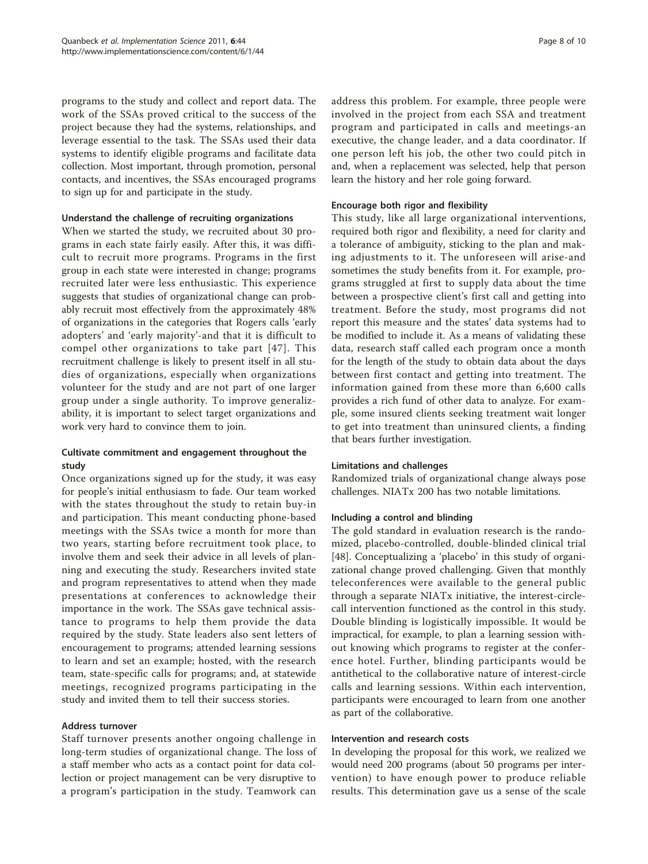programs to the study and collect and report data. The work of the SSAs proved critical to the success of the project because they had the systems, relationships, and leverage essential to the task. The SSAs used their data systems to identify eligible programs and facilitate data collection. Most important, through promotion, personal contacts, and incentives, the SSAs encouraged programs to sign up for and participate in the study.

# Understand the challenge of recruiting organizations

When we started the study, we recruited about 30 programs in each state fairly easily. After this, it was difficult to recruit more programs. Programs in the first group in each state were interested in change; programs recruited later were less enthusiastic. This experience suggests that studies of organizational change can probably recruit most effectively from the approximately 48% of organizations in the categories that Rogers calls 'early adopters' and 'early majority'-and that it is difficult to compel other organizations to take part [[47](#page-9-0)]. This recruitment challenge is likely to present itself in all studies of organizations, especially when organizations volunteer for the study and are not part of one larger group under a single authority. To improve generalizability, it is important to select target organizations and work very hard to convince them to join.

# Cultivate commitment and engagement throughout the study

Once organizations signed up for the study, it was easy for people's initial enthusiasm to fade. Our team worked with the states throughout the study to retain buy-in and participation. This meant conducting phone-based meetings with the SSAs twice a month for more than two years, starting before recruitment took place, to involve them and seek their advice in all levels of planning and executing the study. Researchers invited state and program representatives to attend when they made presentations at conferences to acknowledge their importance in the work. The SSAs gave technical assistance to programs to help them provide the data required by the study. State leaders also sent letters of encouragement to programs; attended learning sessions to learn and set an example; hosted, with the research team, state-specific calls for programs; and, at statewide meetings, recognized programs participating in the study and invited them to tell their success stories.

# Address turnover

Staff turnover presents another ongoing challenge in long-term studies of organizational change. The loss of a staff member who acts as a contact point for data collection or project management can be very disruptive to a program's participation in the study. Teamwork can address this problem. For example, three people were involved in the project from each SSA and treatment program and participated in calls and meetings-an executive, the change leader, and a data coordinator. If one person left his job, the other two could pitch in and, when a replacement was selected, help that person learn the history and her role going forward.

# Encourage both rigor and flexibility

This study, like all large organizational interventions, required both rigor and flexibility, a need for clarity and a tolerance of ambiguity, sticking to the plan and making adjustments to it. The unforeseen will arise-and sometimes the study benefits from it. For example, programs struggled at first to supply data about the time between a prospective client's first call and getting into treatment. Before the study, most programs did not report this measure and the states' data systems had to be modified to include it. As a means of validating these data, research staff called each program once a month for the length of the study to obtain data about the days between first contact and getting into treatment. The information gained from these more than 6,600 calls provides a rich fund of other data to analyze. For example, some insured clients seeking treatment wait longer to get into treatment than uninsured clients, a finding that bears further investigation.

# Limitations and challenges

Randomized trials of organizational change always pose challenges. NIATx 200 has two notable limitations.

# Including a control and blinding

The gold standard in evaluation research is the randomized, placebo-controlled, double-blinded clinical trial [[48\]](#page-9-0). Conceptualizing a 'placebo' in this study of organizational change proved challenging. Given that monthly teleconferences were available to the general public through a separate NIATx initiative, the interest-circlecall intervention functioned as the control in this study. Double blinding is logistically impossible. It would be impractical, for example, to plan a learning session without knowing which programs to register at the conference hotel. Further, blinding participants would be antithetical to the collaborative nature of interest-circle calls and learning sessions. Within each intervention, participants were encouraged to learn from one another as part of the collaborative.

# Intervention and research costs

In developing the proposal for this work, we realized we would need 200 programs (about 50 programs per intervention) to have enough power to produce reliable results. This determination gave us a sense of the scale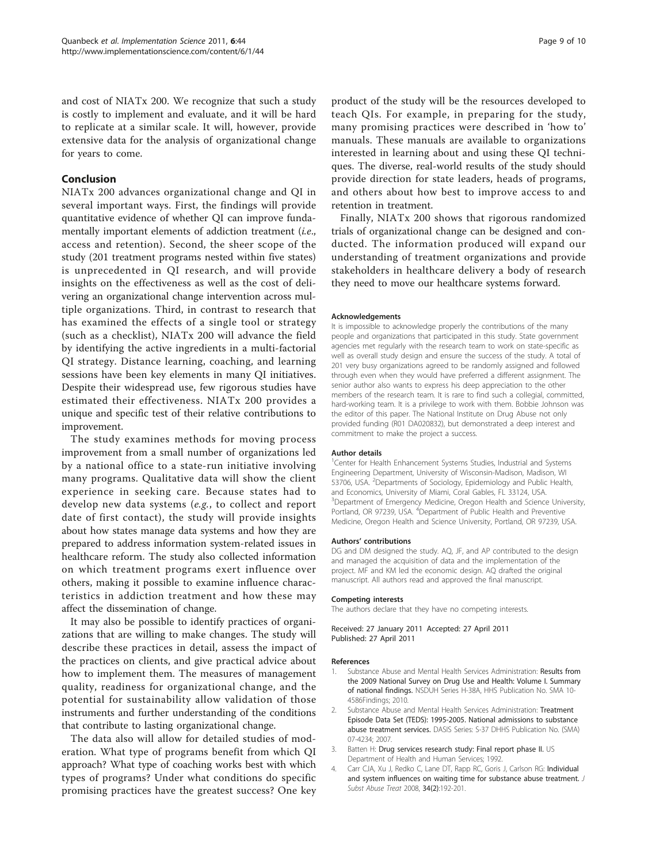<span id="page-8-0"></span>and cost of NIATx 200. We recognize that such a study is costly to implement and evaluate, and it will be hard to replicate at a similar scale. It will, however, provide extensive data for the analysis of organizational change for years to come.

# Conclusion

NIATx 200 advances organizational change and QI in several important ways. First, the findings will provide quantitative evidence of whether QI can improve fundamentally important elements of addiction treatment (i.e., access and retention). Second, the sheer scope of the study (201 treatment programs nested within five states) is unprecedented in QI research, and will provide insights on the effectiveness as well as the cost of delivering an organizational change intervention across multiple organizations. Third, in contrast to research that has examined the effects of a single tool or strategy (such as a checklist), NIATx 200 will advance the field by identifying the active ingredients in a multi-factorial QI strategy. Distance learning, coaching, and learning sessions have been key elements in many QI initiatives. Despite their widespread use, few rigorous studies have estimated their effectiveness. NIATx 200 provides a unique and specific test of their relative contributions to improvement.

The study examines methods for moving process improvement from a small number of organizations led by a national office to a state-run initiative involving many programs. Qualitative data will show the client experience in seeking care. Because states had to develop new data systems (e.g., to collect and report date of first contact), the study will provide insights about how states manage data systems and how they are prepared to address information system-related issues in healthcare reform. The study also collected information on which treatment programs exert influence over others, making it possible to examine influence characteristics in addiction treatment and how these may affect the dissemination of change.

It may also be possible to identify practices of organizations that are willing to make changes. The study will describe these practices in detail, assess the impact of the practices on clients, and give practical advice about how to implement them. The measures of management quality, readiness for organizational change, and the potential for sustainability allow validation of those instruments and further understanding of the conditions that contribute to lasting organizational change.

The data also will allow for detailed studies of moderation. What type of programs benefit from which QI approach? What type of coaching works best with which types of programs? Under what conditions do specific promising practices have the greatest success? One key product of the study will be the resources developed to teach QIs. For example, in preparing for the study, many promising practices were described in 'how to' manuals. These manuals are available to organizations interested in learning about and using these QI techniques. The diverse, real-world results of the study should provide direction for state leaders, heads of programs, and others about how best to improve access to and retention in treatment.

Finally, NIATx 200 shows that rigorous randomized trials of organizational change can be designed and conducted. The information produced will expand our understanding of treatment organizations and provide stakeholders in healthcare delivery a body of research they need to move our healthcare systems forward.

#### Acknowledgements

It is impossible to acknowledge properly the contributions of the many people and organizations that participated in this study. State government agencies met regularly with the research team to work on state-specific as well as overall study design and ensure the success of the study. A total of 201 very busy organizations agreed to be randomly assigned and followed through even when they would have preferred a different assignment. The senior author also wants to express his deep appreciation to the other members of the research team. It is rare to find such a collegial, committed, hard-working team. It is a privilege to work with them. Bobbie Johnson was the editor of this paper. The National Institute on Drug Abuse not only provided funding (R01 DA020832), but demonstrated a deep interest and commitment to make the project a success.

#### Author details

<sup>1</sup> Center for Health Enhancement Systems Studies, Industrial and Systems Engineering Department, University of Wisconsin-Madison, Madison, WI 53706, USA. <sup>2</sup>Departments of Sociology, Epidemiology and Public Health and Economics, University of Miami, Coral Gables, FL 33124, USA. <sup>3</sup>Department of Emergency Medicine, Oregon Health and Science University, Portland, OR 97239, USA. <sup>4</sup>Department of Public Health and Preventive Medicine, Oregon Health and Science University, Portland, OR 97239, USA.

#### Authors' contributions

DG and DM designed the study. AQ, JF, and AP contributed to the design and managed the acquisition of data and the implementation of the project. MF and KM led the economic design. AQ drafted the original manuscript. All authors read and approved the final manuscript.

#### Competing interests

The authors declare that they have no competing interests.

Received: 27 January 2011 Accepted: 27 April 2011 Published: 27 April 2011

#### References

- 1. Substance Abuse and Mental Health Services Administration: Results from the 2009 National Survey on Drug Use and Health: Volume I. Summary of national findings. NSDUH Series H-38A, HHS Publication No. SMA 10- 4586Findings; 2010.
- 2. Substance Abuse and Mental Health Services Administration: Treatment Episode Data Set (TEDS): 1995-2005. National admissions to substance abuse treatment services. DASIS Series: S-37 DHHS Publication No. (SMA) 07-4234; 2007.
- 3. Batten H: Drug services research study: Final report phase II. US Department of Health and Human Services; 1992.
- 4. Carr CJA, Xu J, Redko C, Lane DT, Rapp RC, Goris J, Carlson RG: [Individual](http://www.ncbi.nlm.nih.gov/pubmed/17512159?dopt=Abstract) [and system influences on waiting time for substance abuse treatment.](http://www.ncbi.nlm.nih.gov/pubmed/17512159?dopt=Abstract) J Subst Abuse Treat 2008, 34(2):192-201.